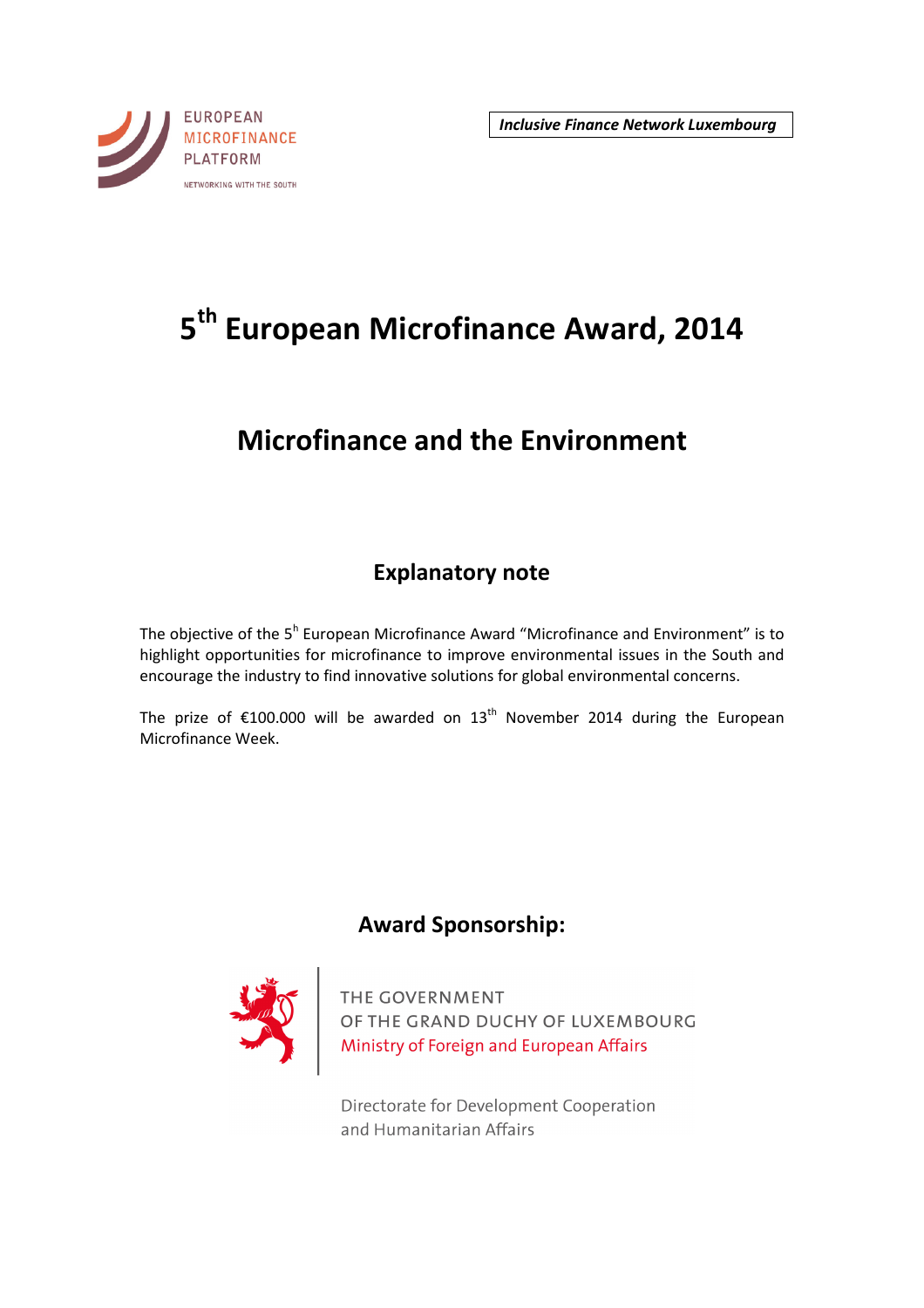

# **5 th European Microfinance Award, 2014**

## **Microfinance and the Environment**

## **Explanatory note**

The objective of the 5<sup>h</sup> European Microfinance Award "Microfinance and Environment" is to highlight opportunities for microfinance to improve environmental issues in the South and encourage the industry to find innovative solutions for global environmental concerns.

The prize of  $£100.000$  will be awarded on  $13<sup>th</sup>$  November 2014 during the European Microfinance Week.

## **Award Sponsorship:**



THE GOVERNMENT<br>OF THE GRAND DUCHY OF LUXEMBOURG<br>Ministry of Foreign and European Affairs

Directorate for Development Cooperation and Humanitarian Affairs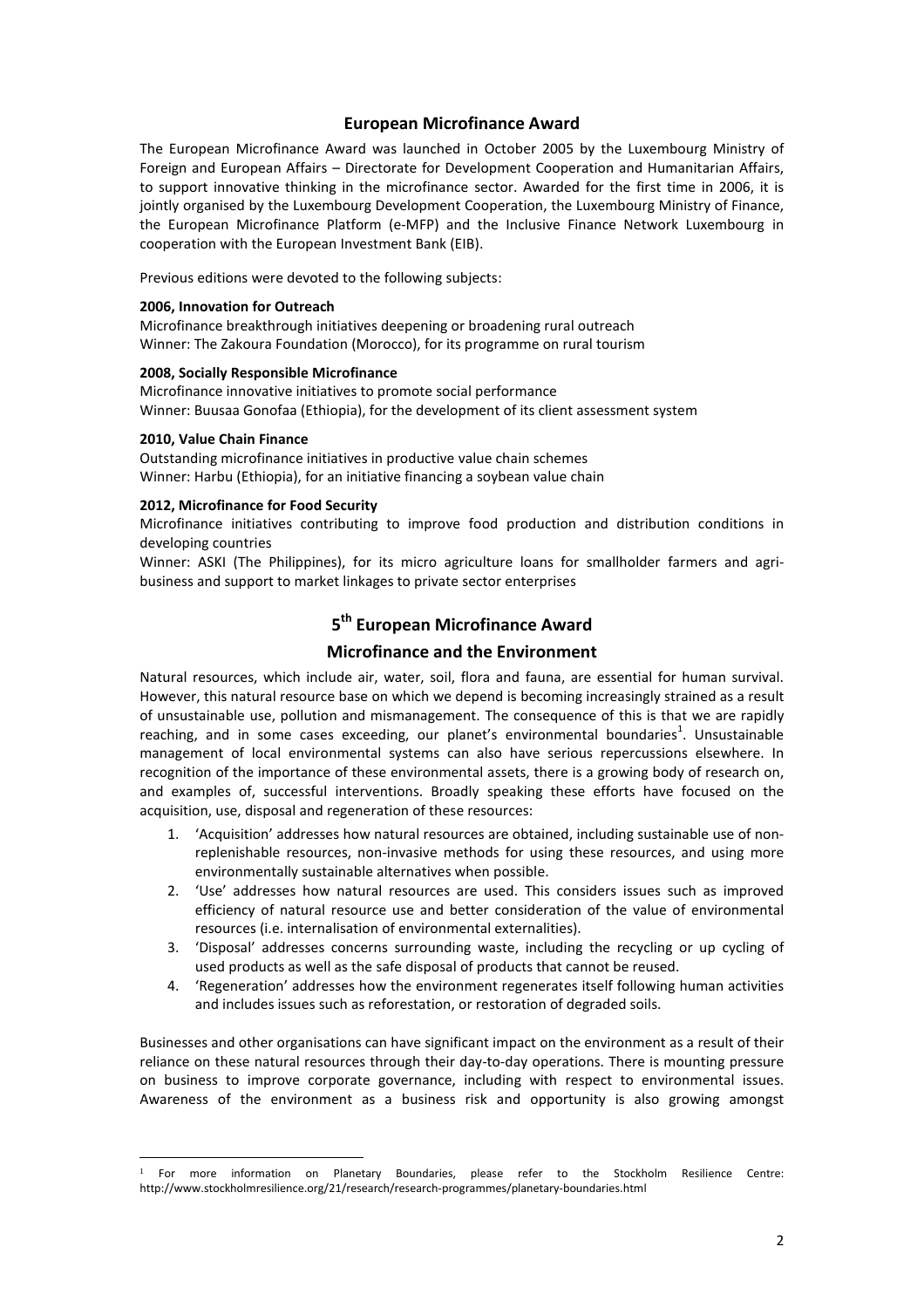#### **European Microfinance Award**

The European Microfinance Award was launched in October 2005 by the Luxembourg Ministry of Foreign and European Affairs – Directorate for Development Cooperation and Humanitarian Affairs, to support innovative thinking in the microfinance sector. Awarded for the first time in 2006, it is jointly organised by the Luxembourg Development Cooperation, the Luxembourg Ministry of Finance, the European Microfinance Platform (e-MFP) and the Inclusive Finance Network Luxembourg in cooperation with the European Investment Bank (EIB).

Previous editions were devoted to the following subjects:

#### **2006, Innovation for Outreach**

Microfinance breakthrough initiatives deepening or broadening rural outreach Winner: The Zakoura Foundation (Morocco), for its programme on rural tourism

#### **2008, Socially Responsible Microfinance**

Microfinance innovative initiatives to promote social performance Winner: Buusaa Gonofaa (Ethiopia), for the development of its client assessment system

#### **2010, Value Chain Finance**

l

Outstanding microfinance initiatives in productive value chain schemes Winner: Harbu (Ethiopia), for an initiative financing a soybean value chain

#### **2012, Microfinance for Food Security**

Microfinance initiatives contributing to improve food production and distribution conditions in developing countries

Winner: ASKI (The Philippines), for its micro agriculture loans for smallholder farmers and agribusiness and support to market linkages to private sector enterprises

### **5 th European Microfinance Award**

#### **Microfinance and the Environment**

Natural resources, which include air, water, soil, flora and fauna, are essential for human survival. However, this natural resource base on which we depend is becoming increasingly strained as a result of unsustainable use, pollution and mismanagement. The consequence of this is that we are rapidly reaching, and in some cases exceeding, our planet's environmental boundaries<sup>1</sup>. Unsustainable management of local environmental systems can also have serious repercussions elsewhere. In recognition of the importance of these environmental assets, there is a growing body of research on, and examples of, successful interventions. Broadly speaking these efforts have focused on the acquisition, use, disposal and regeneration of these resources:

- 1. 'Acquisition' addresses how natural resources are obtained, including sustainable use of nonreplenishable resources, non-invasive methods for using these resources, and using more environmentally sustainable alternatives when possible.
- 2. 'Use' addresses how natural resources are used. This considers issues such as improved efficiency of natural resource use and better consideration of the value of environmental resources (i.e. internalisation of environmental externalities).
- 3. 'Disposal' addresses concerns surrounding waste, including the recycling or up cycling of used products as well as the safe disposal of products that cannot be reused.
- 4. 'Regeneration' addresses how the environment regenerates itself following human activities and includes issues such as reforestation, or restoration of degraded soils.

Businesses and other organisations can have significant impact on the environment as a result of their reliance on these natural resources through their day-to-day operations. There is mounting pressure on business to improve corporate governance, including with respect to environmental issues. Awareness of the environment as a business risk and opportunity is also growing amongst

<sup>1</sup> For more information on Planetary Boundaries, please refer to the Stockholm Resilience Centre: http://www.stockholmresilience.org/21/research/research-programmes/planetary-boundaries.html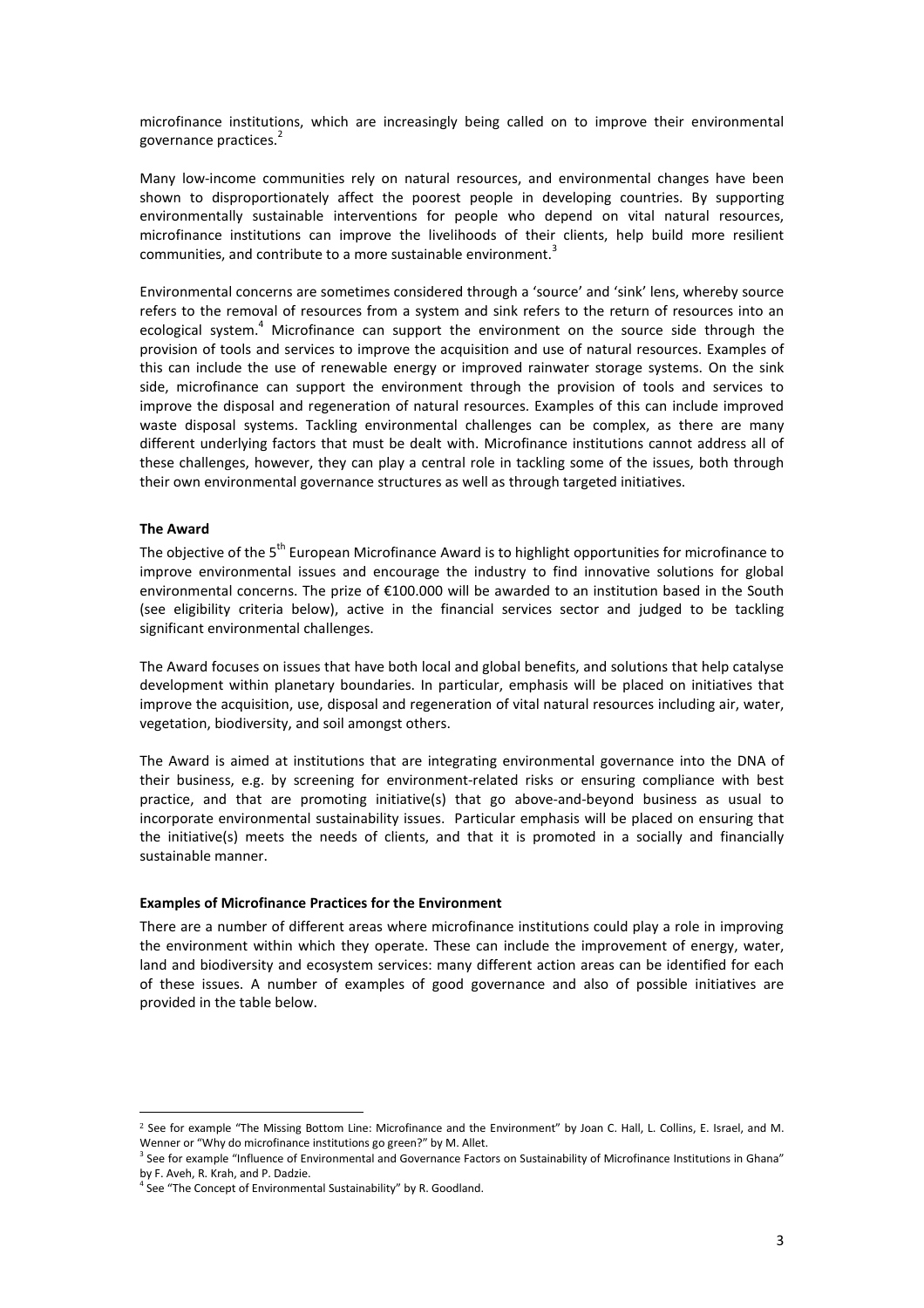microfinance institutions, which are increasingly being called on to improve their environmental governance practices.<sup>2</sup>

Many low-income communities rely on natural resources, and environmental changes have been shown to disproportionately affect the poorest people in developing countries. By supporting environmentally sustainable interventions for people who depend on vital natural resources, microfinance institutions can improve the livelihoods of their clients, help build more resilient communities, and contribute to a more sustainable environment.<sup>3</sup>

Environmental concerns are sometimes considered through a 'source' and 'sink' lens, whereby source refers to the removal of resources from a system and sink refers to the return of resources into an ecological system.<sup>4</sup> Microfinance can support the environment on the source side through the provision of tools and services to improve the acquisition and use of natural resources. Examples of this can include the use of renewable energy or improved rainwater storage systems. On the sink side, microfinance can support the environment through the provision of tools and services to improve the disposal and regeneration of natural resources. Examples of this can include improved waste disposal systems. Tackling environmental challenges can be complex, as there are many different underlying factors that must be dealt with. Microfinance institutions cannot address all of these challenges, however, they can play a central role in tackling some of the issues, both through their own environmental governance structures as well as through targeted initiatives.

#### **The Award**

l

The obiective of the 5<sup>th</sup> European Microfinance Award is to highlight opportunities for microfinance to improve environmental issues and encourage the industry to find innovative solutions for global environmental concerns. The prize of €100.000 will be awarded to an institution based in the South (see eligibility criteria below), active in the financial services sector and judged to be tackling significant environmental challenges.

The Award focuses on issues that have both local and global benefits, and solutions that help catalyse development within planetary boundaries. In particular, emphasis will be placed on initiatives that improve the acquisition, use, disposal and regeneration of vital natural resources including air, water, vegetation, biodiversity, and soil amongst others.

The Award is aimed at institutions that are integrating environmental governance into the DNA of their business, e.g. by screening for environment-related risks or ensuring compliance with best practice, and that are promoting initiative(s) that go above-and-beyond business as usual to incorporate environmental sustainability issues. Particular emphasis will be placed on ensuring that the initiative(s) meets the needs of clients, and that it is promoted in a socially and financially sustainable manner.

#### **Examples of Microfinance Practices for the Environment**

There are a number of different areas where microfinance institutions could play a role in improving the environment within which they operate. These can include the improvement of energy, water, land and biodiversity and ecosystem services: many different action areas can be identified for each of these issues. A number of examples of good governance and also of possible initiatives are provided in the table below.

<sup>&</sup>lt;sup>2</sup> See for example "The Missing Bottom Line: Microfinance and the Environment" by Joan C. Hall, L. Collins, E. Israel, and M. Wenner or "Why do microfinance institutions go green?" by M. Allet.

<sup>&</sup>lt;sup>3</sup> See for example "Influence of Environmental and Governance Factors on Sustainability of Microfinance Institutions in Ghana" by F. Aveh, R. Krah, and P. Dadzie.

<sup>&</sup>lt;sup>4</sup> See "The Concept of Environmental Sustainability" by R. Goodland.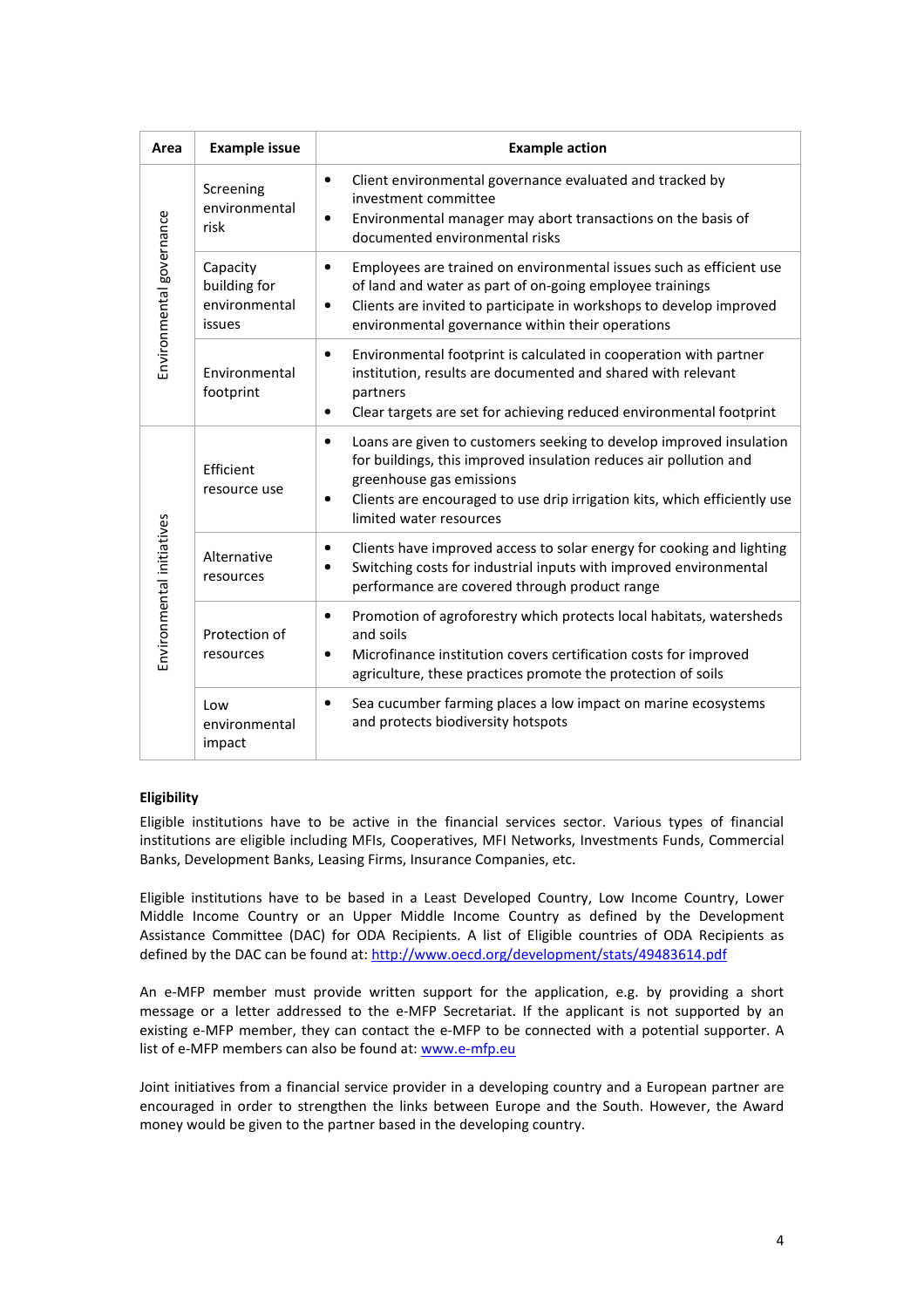| Area                      | <b>Example issue</b>                                | <b>Example action</b>                                                                                                                                                                                                                                                             |
|---------------------------|-----------------------------------------------------|-----------------------------------------------------------------------------------------------------------------------------------------------------------------------------------------------------------------------------------------------------------------------------------|
| Environmental governance  | Screening<br>environmental<br>risk                  | Client environmental governance evaluated and tracked by<br>٠<br>investment committee<br>Environmental manager may abort transactions on the basis of<br>٠<br>documented environmental risks                                                                                      |
|                           | Capacity<br>building for<br>environmental<br>issues | Employees are trained on environmental issues such as efficient use<br>٠<br>of land and water as part of on-going employee trainings<br>Clients are invited to participate in workshops to develop improved<br>٠<br>environmental governance within their operations              |
|                           | Environmental<br>footprint                          | Environmental footprint is calculated in cooperation with partner<br>٠<br>institution, results are documented and shared with relevant<br>partners<br>Clear targets are set for achieving reduced environmental footprint<br>٠                                                    |
| Environmental initiatives | Efficient<br>resource use                           | Loans are given to customers seeking to develop improved insulation<br>٠<br>for buildings, this improved insulation reduces air pollution and<br>greenhouse gas emissions<br>Clients are encouraged to use drip irrigation kits, which efficiently use<br>limited water resources |
|                           | Alternative<br>resources                            | Clients have improved access to solar energy for cooking and lighting<br>٠<br>Switching costs for industrial inputs with improved environmental<br>performance are covered through product range                                                                                  |
|                           | Protection of<br>resources                          | Promotion of agroforestry which protects local habitats, watersheds<br>٠<br>and soils<br>Microfinance institution covers certification costs for improved<br>٠<br>agriculture, these practices promote the protection of soils                                                    |
|                           | Low<br>environmental<br>impact                      | Sea cucumber farming places a low impact on marine ecosystems<br>٠<br>and protects biodiversity hotspots                                                                                                                                                                          |

#### **Eligibility**

Eligible institutions have to be active in the financial services sector. Various types of financial institutions are eligible including MFIs, Cooperatives, MFI Networks, Investments Funds, Commercial Banks, Development Banks, Leasing Firms, Insurance Companies, etc.

Eligible institutions have to be based in a Least Developed Country, Low Income Country, Lower Middle Income Country or an Upper Middle Income Country as defined by the Development Assistance Committee (DAC) for ODA Recipients. A list of Eligible countries of ODA Recipients as defined by the DAC can be found at: http://www.oecd.org/development/stats/49483614.pdf

An e-MFP member must provide written support for the application, e.g. by providing a short message or a letter addressed to the e-MFP Secretariat. If the applicant is not supported by an existing e-MFP member, they can contact the e-MFP to be connected with a potential supporter. A list of e-MFP members can also be found at: www.e-mfp.eu

Joint initiatives from a financial service provider in a developing country and a European partner are encouraged in order to strengthen the links between Europe and the South. However, the Award money would be given to the partner based in the developing country.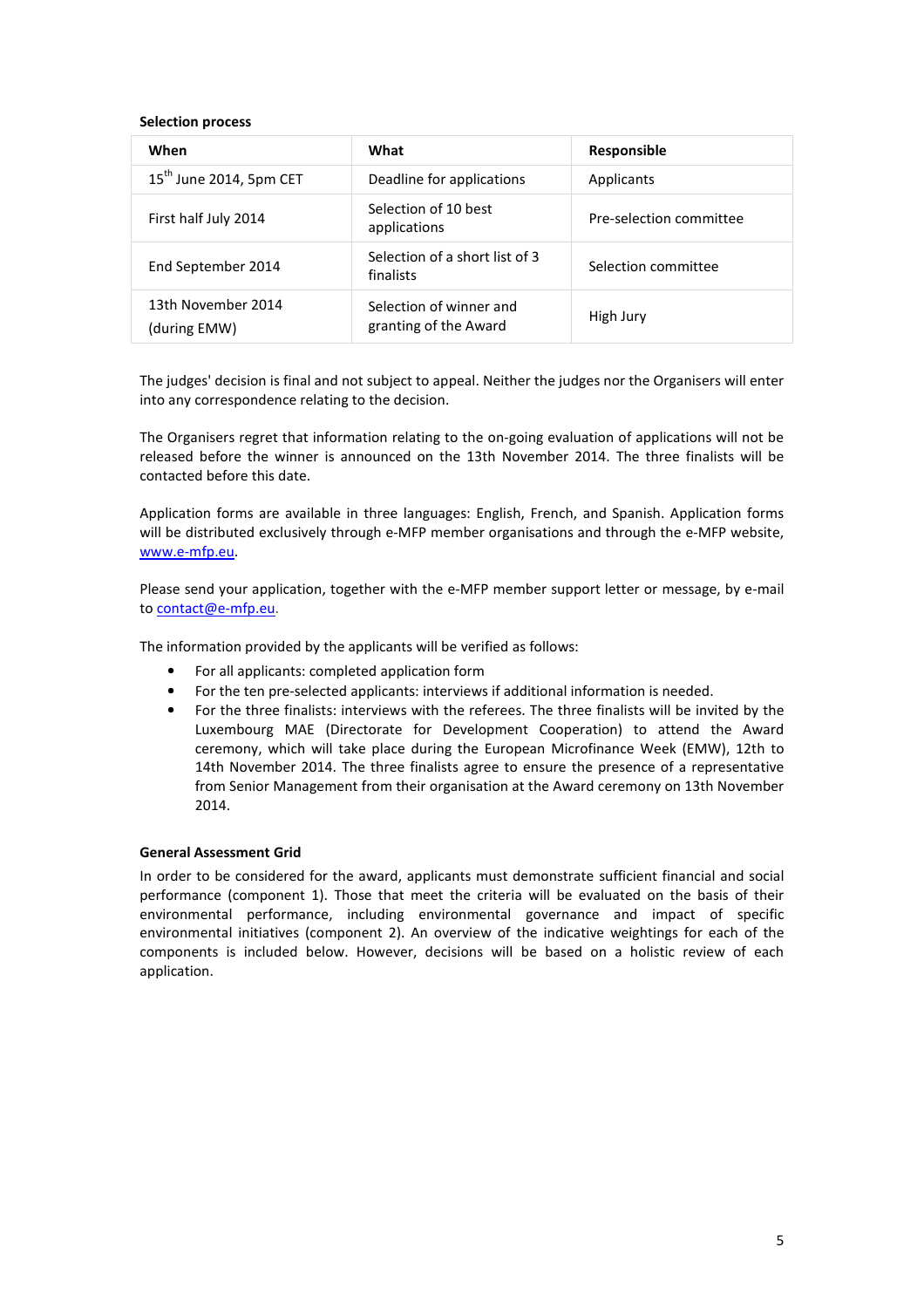#### **Selection process**

| When                               | What                                             | Responsible             |
|------------------------------------|--------------------------------------------------|-------------------------|
| $15th$ June 2014, 5pm CET          | Deadline for applications                        | Applicants              |
| First half July 2014               | Selection of 10 best<br>applications             | Pre-selection committee |
| End September 2014                 | Selection of a short list of 3<br>finalists      | Selection committee     |
| 13th November 2014<br>(during EMW) | Selection of winner and<br>granting of the Award | High Jury               |

The judges' decision is final and not subject to appeal. Neither the judges nor the Organisers will enter into any correspondence relating to the decision.

The Organisers regret that information relating to the on-going evaluation of applications will not be released before the winner is announced on the 13th November 2014. The three finalists will be contacted before this date.

Application forms are available in three languages: English, French, and Spanish. Application forms will be distributed exclusively through e-MFP member organisations and through the e-MFP website, www.e-mfp.eu.

Please send your application, together with the e-MFP member support letter or message, by e-mail to contact@e-mfp.eu.

The information provided by the applicants will be verified as follows:

- For all applicants: completed application form
- For the ten pre-selected applicants: interviews if additional information is needed.
- For the three finalists: interviews with the referees. The three finalists will be invited by the Luxembourg MAE (Directorate for Development Cooperation) to attend the Award ceremony, which will take place during the European Microfinance Week (EMW), 12th to 14th November 2014. The three finalists agree to ensure the presence of a representative from Senior Management from their organisation at the Award ceremony on 13th November 2014.

#### **General Assessment Grid**

In order to be considered for the award, applicants must demonstrate sufficient financial and social performance (component 1). Those that meet the criteria will be evaluated on the basis of their environmental performance, including environmental governance and impact of specific environmental initiatives (component 2). An overview of the indicative weightings for each of the components is included below. However, decisions will be based on a holistic review of each application.